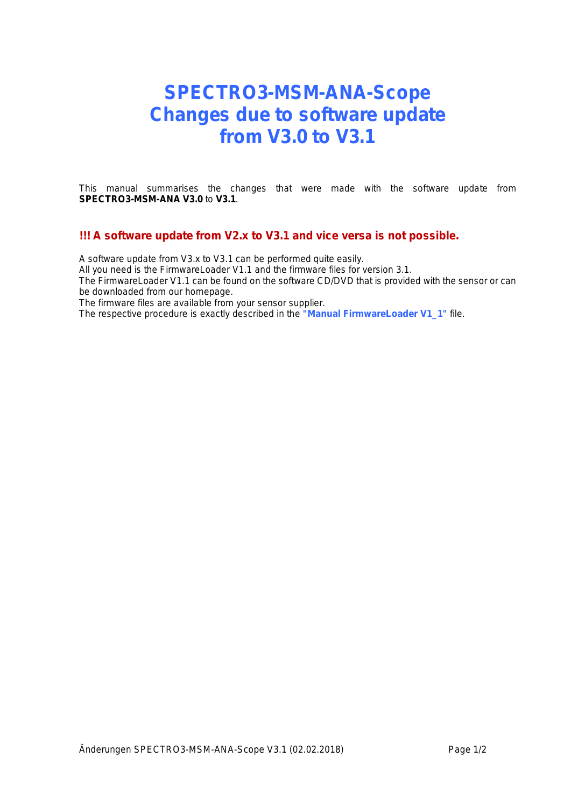## **SPECTRO3-MSM-ANA-Scope Changes due to software update from V3.0 to V3.1**

This manual summarises the changes that were made with the software update from **SPECTRO3-MSM-ANA V3.0** to **V3.1**.

## **!!! A software update from V2.x to V3.1 and vice versa is not possible.**

A software update from V3.x to V3.1 can be performed quite easily.

All you need is the FirmwareLoader V1.1 and the firmware files for version 3.1.

The FirmwareLoader V1.1 can be found on the software CD/DVD that is provided with the sensor or can be downloaded from our homepage.

The firmware files are available from your sensor supplier.

The respective procedure is exactly described in the **"Manual FirmwareLoader V1\_1"** file.